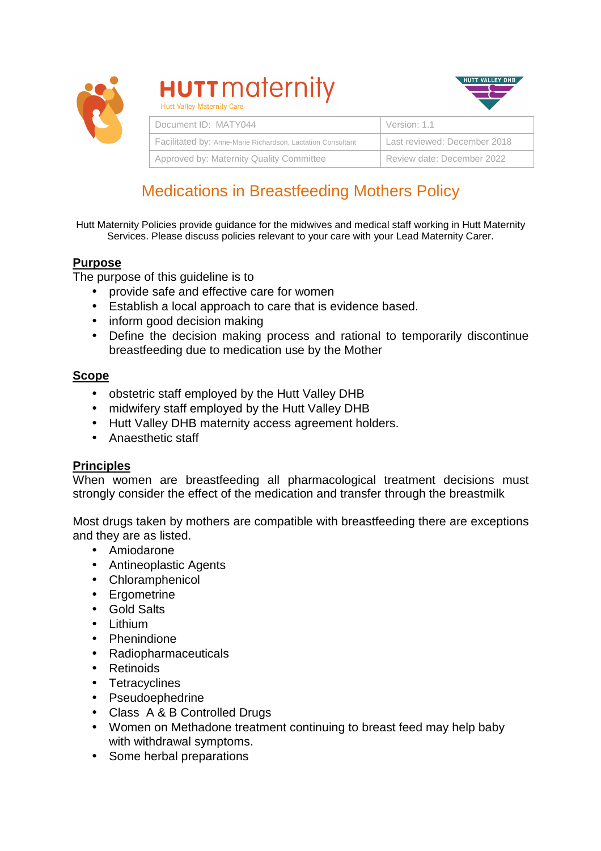

# **HUTT** maternity



| Document ID: MATY044                                        | Version: 1.1                 |
|-------------------------------------------------------------|------------------------------|
| Facilitated by: Anne-Marie Richardson, Lactation Consultant | Last reviewed: December 2018 |
| Approved by: Maternity Quality Committee                    | Review date: December 2022   |

# Medications in Breastfeeding Mothers Policy

Hutt Maternity Policies provide guidance for the midwives and medical staff working in Hutt Maternity Services. Please discuss policies relevant to your care with your Lead Maternity Carer.

# **Purpose**

The purpose of this guideline is to

- provide safe and effective care for women
- Establish a local approach to care that is evidence based.
- inform good decision making
- Define the decision making process and rational to temporarily discontinue breastfeeding due to medication use by the Mother

#### **Scope**

- obstetric staff employed by the Hutt Valley DHB
- midwifery staff employed by the Hutt Valley DHB
- Hutt Valley DHB maternity access agreement holders.
- Anaesthetic staff

## **Principles**

When women are breastfeeding all pharmacological treatment decisions must strongly consider the effect of the medication and transfer through the breastmilk

Most drugs taken by mothers are compatible with breastfeeding there are exceptions and they are as listed.

- Amiodarone
- Antineoplastic Agents
- Chloramphenicol
- Ergometrine
- Gold Salts
- Lithium
- Phenindione
- Radiopharmaceuticals
- Retinoids
- Tetracyclines
- Pseudoephedrine
- Class A & B Controlled Drugs
- Women on Methadone treatment continuing to breast feed may help baby with withdrawal symptoms.
- Some herbal preparations